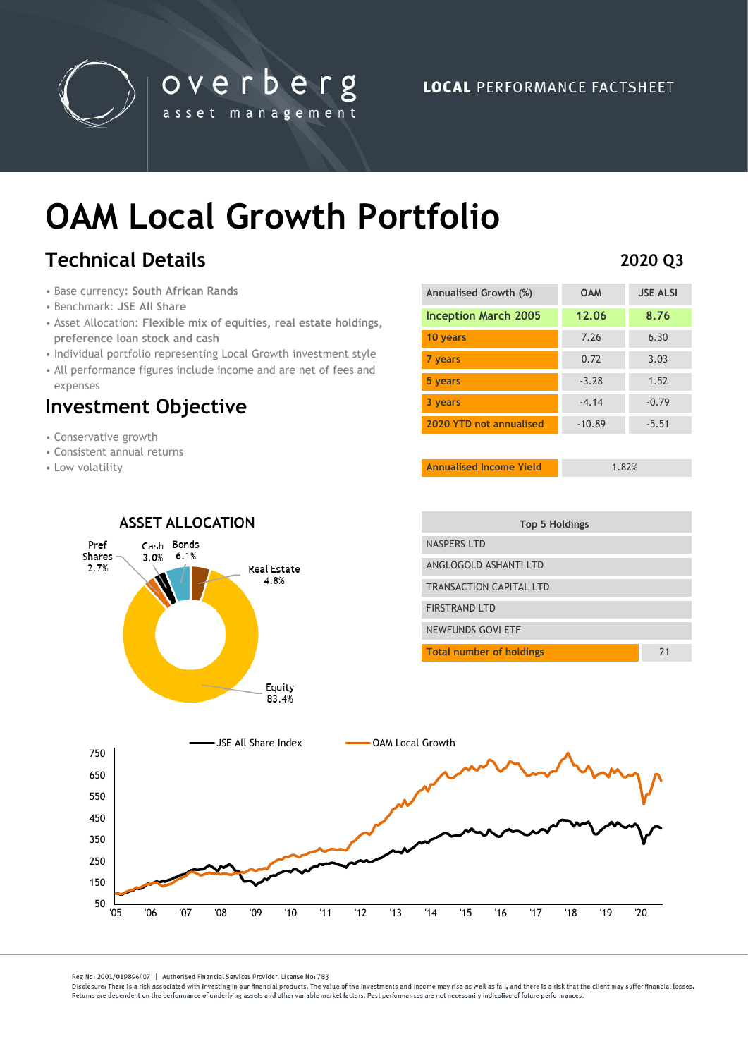

**LOCAL PERFORMANCE FACTSHEET** 

# **OAM Local Growth Portfolio**

overberg

asset management

# **Technical Details**

- Base currency: **South African Rands**
- Benchmark: **JSE All Share**
- Asset Allocation: **Flexible mix of equities, real estate holdings, preference loan stock and cash**
- Individual portfolio representing Local Growth investment style
- All performance figures include income and are net of fees and expenses

## **Investment Objective**

- Conservative growth
- Consistent annual returns
- Low volatility

| Annualised Growth (%)       | <b>OAM</b> | <b>JSE ALSI</b> |
|-----------------------------|------------|-----------------|
| <b>Inception March 2005</b> | 12.06      | 8.76            |
| 10 years                    | 7.26       | 6.30            |
| 7 years                     | 0.72       | 3.03            |
| 5 years                     | $-3.28$    | 1.52            |
| 3 years                     | $-4.14$    | $-0.79$         |
| 2020 YTD not annualised     | $-10.89$   | $-5.51$         |

**Annualised Income Yield** 1.82%

| <b>ASSET ALLOCATION</b>                                                                 | Top 5 Holdings                        |  |
|-----------------------------------------------------------------------------------------|---------------------------------------|--|
| Bonds<br>Pref<br>Cash<br>6.1%<br>Shares -<br>3.0%<br>2.7%<br><b>Real Estate</b><br>4.8% | <b>NASPERS LTD</b>                    |  |
|                                                                                         | ANGLOGOLD ASHANTI LTD                 |  |
|                                                                                         | TRANSACTION CAPITAL LTD               |  |
|                                                                                         | <b>FIRSTRAND LTD</b>                  |  |
|                                                                                         | NEWFUNDS GOVI ETF                     |  |
|                                                                                         | 21<br><b>Total number of holdings</b> |  |
| 83.4%<br>-JSE All Share Index                                                           | <b>OAM Local Growth</b>               |  |
|                                                                                         |                                       |  |
| 750                                                                                     |                                       |  |
|                                                                                         |                                       |  |
| 650                                                                                     |                                       |  |
| 550                                                                                     |                                       |  |
| 450                                                                                     |                                       |  |
| 350                                                                                     |                                       |  |
| 250                                                                                     |                                       |  |
| 150                                                                                     |                                       |  |

Reg No: 2001/019896/07 | Authorised Financial Services Provider. License No: 783

Disclosure: There is a risk associated with investing in our financial products. The value of the investments and income may rise as well as fall, and there is a risk that the client may suffer financial losses Beturns are dependent on the performance of underlying assets and other variable market factors. Past performances are not necessarily indicative of future performances.

### **2020 Q3**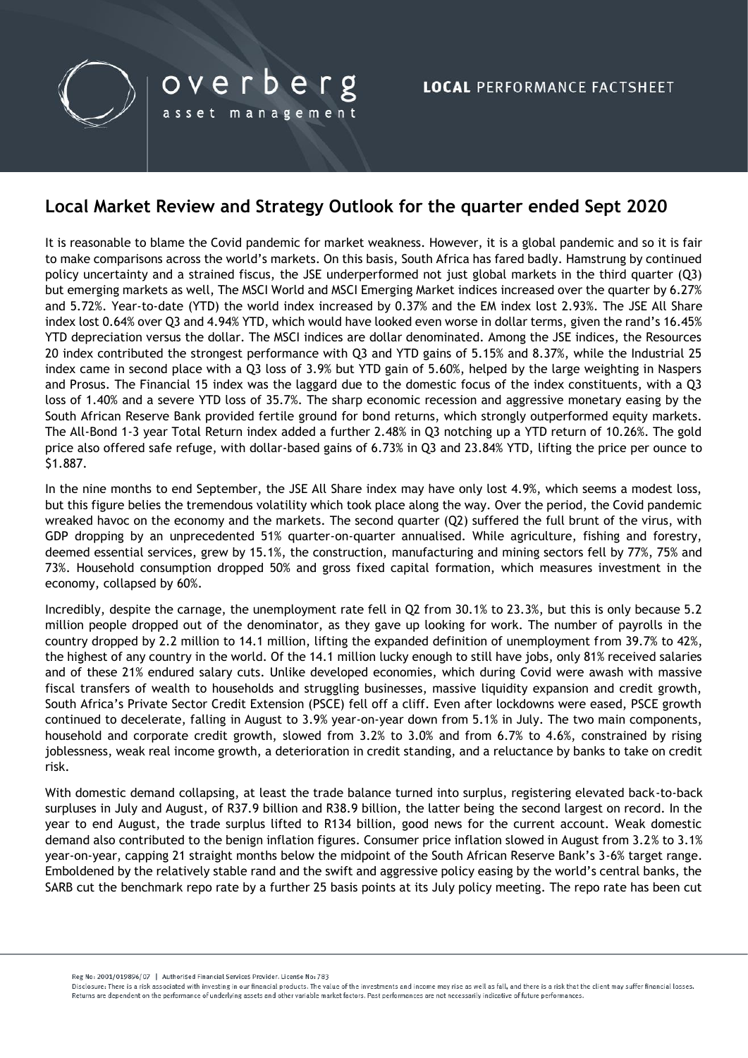

### **Local Market Review and Strategy Outlook for the quarter ended Sept 2020**

It is reasonable to blame the Covid pandemic for market weakness. However, it is a global pandemic and so it is fair to make comparisons across the world's markets. On this basis, South Africa has fared badly. Hamstrung by continued policy uncertainty and a strained fiscus, the JSE underperformed not just global markets in the third quarter (Q3) but emerging markets as well, The MSCI World and MSCI Emerging Market indices increased over the quarter by 6.27% and 5.72%. Year-to-date (YTD) the world index increased by 0.37% and the EM index lost 2.93%. The JSE All Share index lost 0.64% over Q3 and 4.94% YTD, which would have looked even worse in dollar terms, given the rand's 16.45% YTD depreciation versus the dollar. The MSCI indices are dollar denominated. Among the JSE indices, the Resources 20 index contributed the strongest performance with Q3 and YTD gains of 5.15% and 8.37%, while the Industrial 25 index came in second place with a Q3 loss of 3.9% but YTD gain of 5.60%, helped by the large weighting in Naspers and Prosus. The Financial 15 index was the laggard due to the domestic focus of the index constituents, with a Q3 loss of 1.40% and a severe YTD loss of 35.7%. The sharp economic recession and aggressive monetary easing by the South African Reserve Bank provided fertile ground for bond returns, which strongly outperformed equity markets. The All-Bond 1-3 year Total Return index added a further 2.48% in Q3 notching up a YTD return of 10.26%. The gold price also offered safe refuge, with dollar-based gains of 6.73% in Q3 and 23.84% YTD, lifting the price per ounce to \$1.887.

In the nine months to end September, the JSE All Share index may have only lost 4.9%, which seems a modest loss, but this figure belies the tremendous volatility which took place along the way. Over the period, the Covid pandemic wreaked havoc on the economy and the markets. The second quarter (Q2) suffered the full brunt of the virus, with GDP dropping by an unprecedented 51% quarter-on-quarter annualised. While agriculture, fishing and forestry, deemed essential services, grew by 15.1%, the construction, manufacturing and mining sectors fell by 77%, 75% and 73%. Household consumption dropped 50% and gross fixed capital formation, which measures investment in the economy, collapsed by 60%.

Incredibly, despite the carnage, the unemployment rate fell in Q2 from 30.1% to 23.3%, but this is only because 5.2 million people dropped out of the denominator, as they gave up looking for work. The number of payrolls in the country dropped by 2.2 million to 14.1 million, lifting the expanded definition of unemployment from 39.7% to 42%, the highest of any country in the world. Of the 14.1 million lucky enough to still have jobs, only 81% received salaries and of these 21% endured salary cuts. Unlike developed economies, which during Covid were awash with massive fiscal transfers of wealth to households and struggling businesses, massive liquidity expansion and credit growth, South Africa's Private Sector Credit Extension (PSCE) fell off a cliff. Even after lockdowns were eased, PSCE growth continued to decelerate, falling in August to 3.9% year-on-year down from 5.1% in July. The two main components, household and corporate credit growth, slowed from 3.2% to 3.0% and from 6.7% to 4.6%, constrained by rising joblessness, weak real income growth, a deterioration in credit standing, and a reluctance by banks to take on credit risk.

With domestic demand collapsing, at least the trade balance turned into surplus, registering elevated back-to-back surpluses in July and August, of R37.9 billion and R38.9 billion, the latter being the second largest on record. In the year to end August, the trade surplus lifted to R134 billion, good news for the current account. Weak domestic demand also contributed to the benign inflation figures. Consumer price inflation slowed in August from 3.2% to 3.1% year-on-year, capping 21 straight months below the midpoint of the South African Reserve Bank's 3-6% target range. Emboldened by the relatively stable rand and the swift and aggressive policy easing by the world's central banks, the SARB cut the benchmark repo rate by a further 25 basis points at its July policy meeting. The repo rate has been cut

Reg No: 2001/019896/07 | Authorised Financial Services Provider, License No: 783

Disclosure: There is a risk associated with investing in our financial products. The value of the investments and income may rise as well as fall, and there is a risk that the client may suffer financial losses Returns are dependent on the performance of underlying assets and other variable market factors. Past performances are not necessarily indicative of future performances.